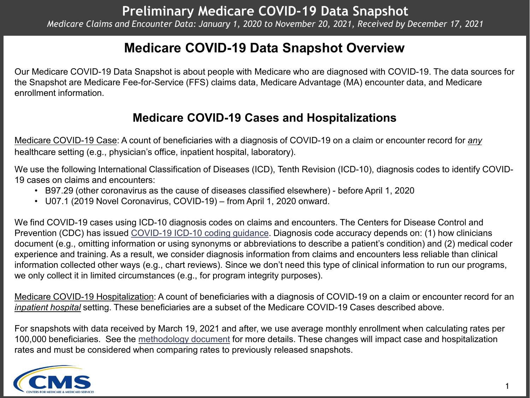## **Medicare COVID-19 Data Snapshot Overview**

Our Medicare COVID-19 Data Snapshot is about people with Medicare who are diagnosed with COVID-19. The data sources for the Snapshot are Medicare Fee-for-Service (FFS) claims data, Medicare Advantage (MA) encounter data, and Medicare enrollment information.

### **Medicare COVID-19 Cases and Hospitalizations**

Medicare COVID-19 Case: A count of beneficiaries with a diagnosis of COVID-19 on a claim or encounter record for *any* healthcare setting (e.g., physician's office, inpatient hospital, laboratory).

We use the following International Classification of Diseases (ICD), Tenth Revision (ICD-10), diagnosis codes to identify COVID-19 cases on claims and encounters:

- B97.29 (other coronavirus as the cause of diseases classified elsewhere) before April 1, 2020
- U07.1 (2019 Novel Coronavirus, COVID-19) from April 1, 2020 onward.

We find COVID-19 cases using ICD-10 diagnosis codes on claims and encounters. The Centers for Disease Control and Prevention (CDC) has issued [COVID-19 ICD-10 coding guidance](https://www.cdc.gov/nchs/data/icd/COVID-19-guidelines-final.pdf). Diagnosis code accuracy depends on: (1) how clinicians document (e.g., omitting information or using synonyms or abbreviations to describe a patient's condition) and (2) medical coder experience and training. As a result, we consider diagnosis information from claims and encounters less reliable than clinical information collected other ways (e.g., chart reviews). Since we don't need this type of clinical information to run our programs, we only collect it in limited circumstances (e.g., for program integrity purposes).

Medicare COVID-19 Hospitalization: A count of beneficiaries with a diagnosis of COVID-19 on a claim or encounter record for an *inpatient hospital* setting. These beneficiaries are a subset of the Medicare COVID-19 Cases described above.

For snapshots with data received by March 19, 2021 and after, we use average monthly enrollment when calculating rates per 100,000 beneficiaries. See the [methodology document](https://www.cms.gov/files/document/medicare-covid-19-data-snapshot-methodology.pdf) for more details. These changes will impact case and hospitalization rates and must be considered when comparing rates to previously released snapshots.

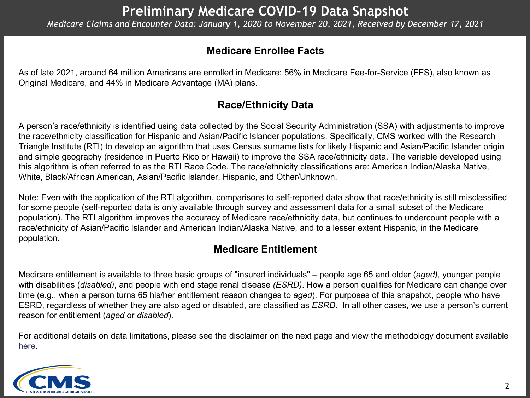#### **Medicare Enrollee Facts**

As of late 2021, around 64 million Americans are enrolled in Medicare: 56% in Medicare Fee-for-Service (FFS), also known as Original Medicare, and 44% in Medicare Advantage (MA) plans.

#### **Race/Ethnicity Data**

A person's race/ethnicity is identified using data collected by the Social Security Administration (SSA) with adjustments to improve the race/ethnicity classification for Hispanic and Asian/Pacific Islander populations. Specifically, CMS worked with the Research Triangle Institute (RTI) to develop an algorithm that uses Census surname lists for likely Hispanic and Asian/Pacific Islander origin and simple geography (residence in Puerto Rico or Hawaii) to improve the SSA race/ethnicity data. The variable developed using this algorithm is often referred to as the RTI Race Code. The race/ethnicity classifications are: American Indian/Alaska Native, White, Black/African American, Asian/Pacific Islander, Hispanic, and Other/Unknown.

Note: Even with the application of the RTI algorithm, comparisons to self-reported data show that race/ethnicity is still misclassified for some people (self-reported data is only available through survey and assessment data for a small subset of the Medicare population). The RTI algorithm improves the accuracy of Medicare race/ethnicity data, but continues to undercount people with a race/ethnicity of Asian/Pacific Islander and American Indian/Alaska Native, and to a lesser extent Hispanic, in the Medicare population.

### **Medicare Entitlement**

Medicare entitlement is available to three basic groups of "insured individuals" – people age 65 and older (*aged)*, younger people with disabilities (*disabled)*, and people with end stage renal disease *(ESRD)*. How a person qualifies for Medicare can change over time (e.g., when a person turns 65 his/her entitlement reason changes to *aged*). For purposes of this snapshot, people who have ESRD, regardless of whether they are also aged or disabled, are classified as *ESRD*. In all other cases, we use a person's current reason for entitlement (*aged* or *disabled*).

For additional details on data limitations, please see the disclaimer on the next page and view the methodology document available [here](https://www.cms.gov/files/document/medicare-covid-19-data-snapshot-methodology.pdf).

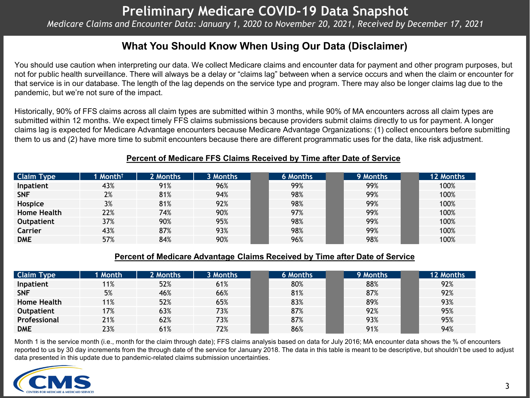#### **What You Should Know When Using Our Data (Disclaimer)**

You should use caution when interpreting our data. We collect Medicare claims and encounter data for payment and other program purposes, but not for public health surveillance. There will always be a delay or "claims lag" between when a service occurs and when the claim or encounter for that service is in our database. The length of the lag depends on the service type and program. There may also be longer claims lag due to the pandemic, but we're not sure of the impact.

Historically, 90% of FFS claims across all claim types are submitted within 3 months, while 90% of MA encounters across all claim types are submitted within 12 months. We expect timely FFS claims submissions because providers submit claims directly to us for payment. A longer claims lag is expected for Medicare Advantage encounters because Medicare Advantage Organizations: (1) collect encounters before submitting them to us and (2) have more time to submit encounters because there are different programmatic uses for the data, like risk adjustment.

#### **Percent of Medicare FFS Claims Received by Time after Date of Service**

| <b>Claim Type</b>  | 1 Month $^\dagger$ | 2 Months | 3 Months | 6 Months | 9 Months | 12 Months |
|--------------------|--------------------|----------|----------|----------|----------|-----------|
| Inpatient          | 43%                | 91%      | 96%      | 99%      | 99%      | 100%      |
| <b>SNF</b>         | 2%                 | 81%      | 94%      | 98%      | 99%      | 100%      |
| Hospice            | 3%                 | 81%      | 92%      | 98%      | 99%      | 100%      |
| <b>Home Health</b> | 22%                | 74%      | 90%      | 97%      | 99%      | 100%      |
| <b>Outpatient</b>  | 37%                | 90%      | 95%      | 98%      | 99%      | 100%      |
| Carrier            | 43%                | 87%      | 93%      | 98%      | 99%      | 100%      |
| <b>DME</b>         | 57%                | 84%      | 90%      | 96%      | 98%      | 100%      |

#### **Percent of Medicare Advantage Claims Received by Time after Date of Service**

| <b>Claim Type</b>  | 1 Month | 2 Months | 3 Months | 6 Months | 9 Months | 12 Months |
|--------------------|---------|----------|----------|----------|----------|-----------|
| Inpatient          | 11%     | 52%      | 61%      | 80%      | 88%      | 92%       |
| <b>SNF</b>         | 5%      | 46%      | 66%      | 81%      | 87%      | 92%       |
| <b>Home Health</b> | 11%     | 52%      | 65%      | 83%      | 89%      | 93%       |
| <b>Outpatient</b>  | 17%     | 63%      | 73%      | 87%      | 92%      | 95%       |
| Professional       | 21%     | 62%      | 73%      | 87%      | 93%      | 95%       |
| <b>DME</b>         | 23%     | 61%      | 72%      | 86%      | 91%      | 94%       |

Month 1 is the service month (i.e., month for the claim through date); FFS claims analysis based on data for July 2016; MA encounter data shows the % of encounters reported to us by 30 day increments from the through date of the service for January 2018. The data in this table is meant to be descriptive, but shouldn't be used to adjust data presented in this update due to pandemic-related claims submission uncertainties.

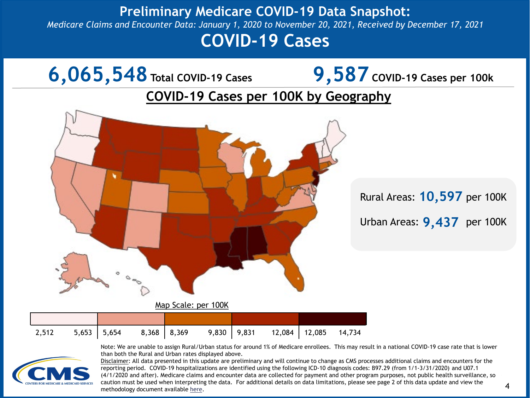### **Preliminary Medicare COVID-19 Data Snapshot:**  *Medicare Claims and Encounter Data: January 1, 2020 to November 20, 2021, Received by December 17, 2021*

# **COVID-19 Cases**



|  | $2,512$ $5,653$ $5,654$ $8,368$ $8,369$ | $\degree$ 9,830   9,831 12,084   12,085 14,734 |  |  |
|--|-----------------------------------------|------------------------------------------------|--|--|



Note: We are unable to assign Rural/Urban status for around 1% of Medicare enrollees. This may result in a national COVID-19 case rate that is lower than both the Rural and Urban rates displayed above.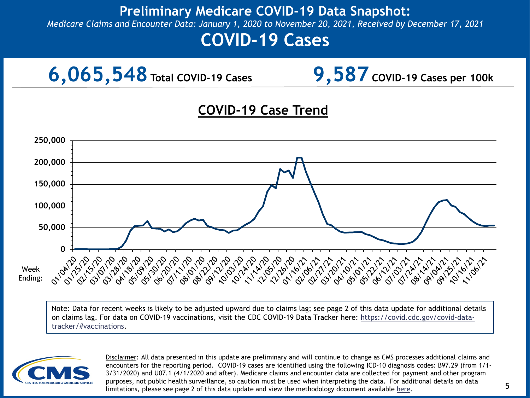*Medicare Claims and Encounter Data: January 1, 2020 to November 20, 2021, Received by December 17, 2021*

# **COVID-19 Cases**



### **COVID-19 Case Trend**



Note: Data for recent weeks is likely to be adjusted upward due to claims lag; see page 2 of this data update for additional details [on claims lag. For data on COVID-19 vaccinations, visit the CDC COVID-19 Data Tracker here: https://covid.cdc.gov/covid-data](https://covid.cdc.gov/covid-data-tracker/#vaccinations)tracker/#vaccinations.

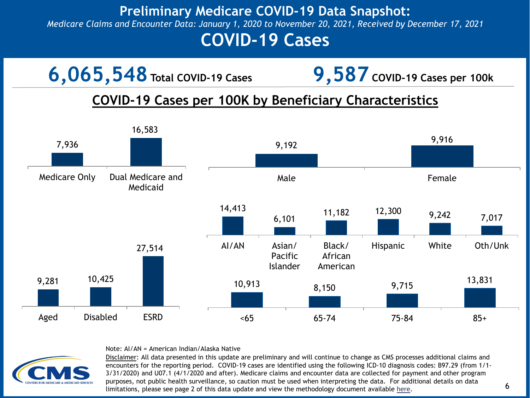### **Preliminary Medicare COVID-19 Data Snapshot:**  *Medicare Claims and Encounter Data: January 1, 2020 to November 20, 2021, Received by December 17, 2021*

# **COVID-19 Cases**



Note: AI/AN = American Indian/Alaska Native

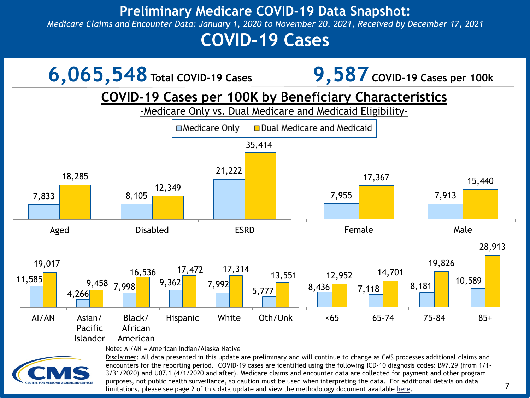*Medicare Claims and Encounter Data: January 1, 2020 to November 20, 2021, Received by December 17, 2021*

# **COVID-19 Cases**

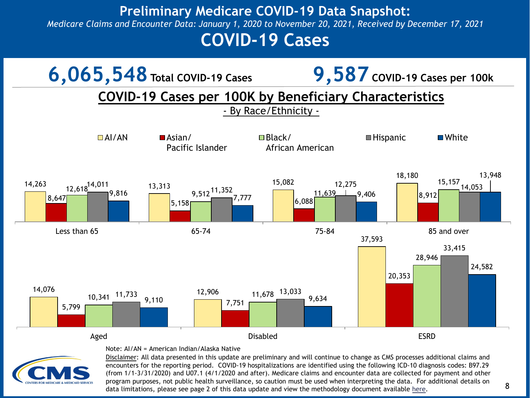*Medicare Claims and Encounter Data: January 1, 2020 to November 20, 2021, Received by December 17, 2021*

# **COVID-19 Cases**



Note: AI/AN = American Indian/Alaska Native

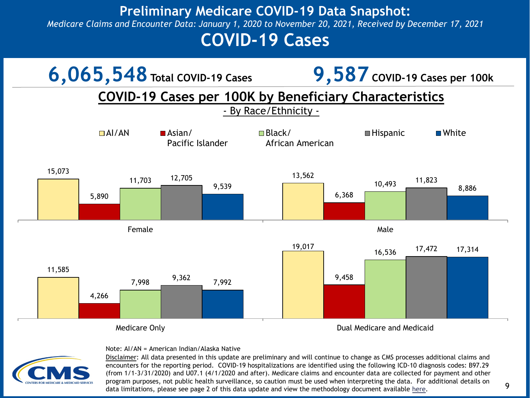*Medicare Claims and Encounter Data: January 1, 2020 to November 20, 2021, Received by December 17, 2021*

# **COVID-19 Cases**



#### Note: AI/AN = American Indian/Alaska Native

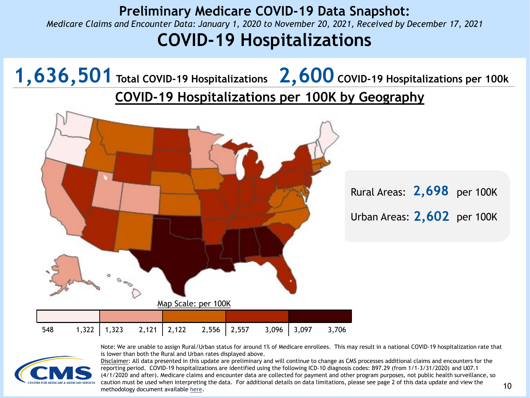### **Preliminary Medicare COVID-19 Data Snapshot:**  *Medicare Claims and Encounter Data: January 1, 2020 to November 20, 2021, Received by December 17, 2021* **COVID-19 Hospitalizations**

**1,636,501 Total COVID-19 Hospitalizations 2,600 COVID-19 Hospitalizations per 100k COVID-19 Hospitalizations per 100K by Geography** Rural Areas: 2,698 per 100K Urban Areas: 2,602 per 100K

Map Scale: per 100K

| 548 |  |  |  |  |  |
|-----|--|--|--|--|--|



Note: We are unable to assign Rural/Urban status for around 1% of Medicare enrollees. This may result in a national COVID-19 hospitalization rate that is lower than both the Rural and Urban rates displayed above.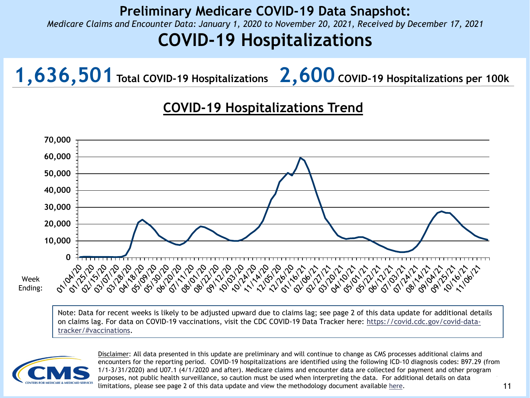*Medicare Claims and Encounter Data: January 1, 2020 to November 20, 2021, Received by December 17, 2021*

# **COVID-19 Hospitalizations**

**1,636,501 Total COVID-19 Hospitalizations 2,600 COVID-19 Hospitalizations per 100k**

## **COVID-19 Hospitalizations Trend**



Week

Note: Data for recent weeks is likely to be adjusted upward due to claims lag; see page 2 of this data update for additional details [on claims lag. For data on COVID-19 vaccinations, visit the CDC COVID-19 Data Tracker here: https://covid.cdc.gov/covid-data](https://covid.cdc.gov/covid-data-tracker/#vaccinations)tracker/#vaccinations.

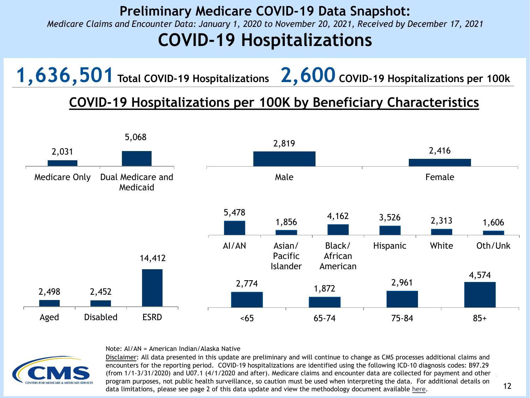*Medicare Claims and Encounter Data: January 1, 2020 to November 20, 2021, Received by December 17, 2021*

# **COVID-19 Hospitalizations**

**1,636,501 Total COVID-19 Hospitalizations 2,600 COVID-19 Hospitalizations per 100k**

## **COVID-19 Hospitalizations per 100K by Beneficiary Characteristics**



Note: AI/AN = American Indian/Alaska Native

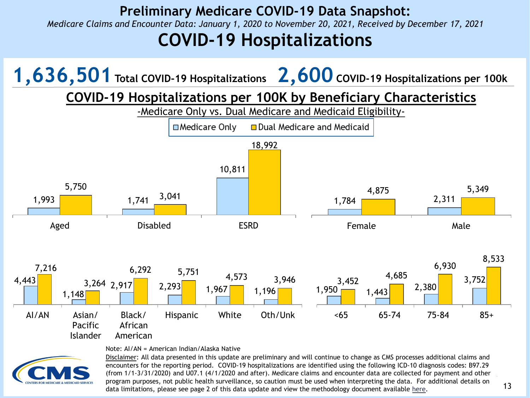*Medicare Claims and Encounter Data: January 1, 2020 to November 20, 2021, Received by December 17, 2021*

# **COVID-19 Hospitalizations**

**1,636,501 Total COVID-19 Hospitalizations 2,600 COVID-19 Hospitalizations per 100k**

**COVID-19 Hospitalizations per 100K by Beneficiary Characteristics**

-Medicare Only vs. Dual Medicare and Medicaid Eligibility-



Note: AI/AN = American Indian/Alaska Native

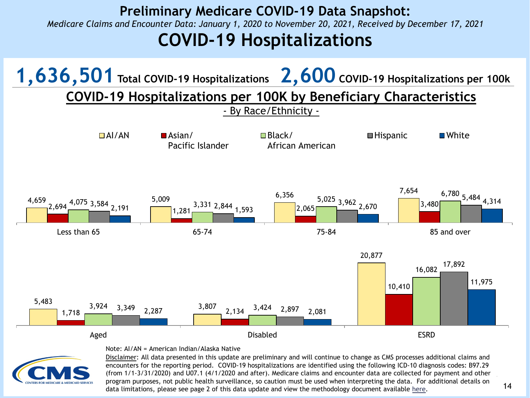### **Preliminary Medicare COVID-19 Data Snapshot:**  *Medicare Claims and Encounter Data: January 1, 2020 to November 20, 2021, Received by December 17, 2021* **COVID-19 Hospitalizations**



#### Note: AI/AN = American Indian/Alaska Native

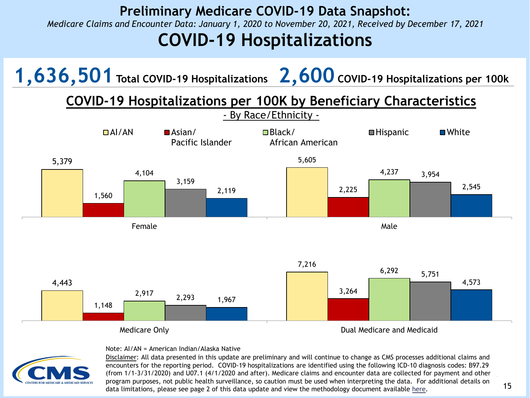*Medicare Claims and Encounter Data: January 1, 2020 to November 20, 2021, Received by December 17, 2021*

# **COVID-19 Hospitalizations**

**1,636,501 Total COVID-19 Hospitalizations 2,600 COVID-19 Hospitalizations per 100k**

## **COVID-19 Hospitalizations per 100K by Beneficiary Characteristics**



#### Note: AI/AN = American Indian/Alaska Native

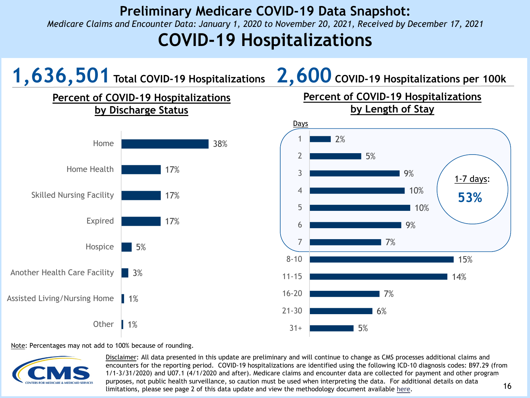*Medicare Claims and Encounter Data: January 1, 2020 to November 20, 2021, Received by December 17, 2021*

# **COVID-19 Hospitalizations**



#### Note: Percentages may not add to 100% because of rounding.



16 1/1-3/31/2020) and U07.1 (4/1/2020 and after). Medicare claims and encounter data are collected for payment and other program 16 Disclaimer: All data presented in this update are preliminary and will continue to change as CMS processes additional claims and encounters for the reporting period. COVID-19 hospitalizations are identified using the following ICD-10 diagnosis codes: B97.29 (from purposes, not public health surveillance, so caution must be used when interpreting the data. For additional details on data limitations, please see page 2 of this data update and view the methodology document available [here](https://www.cms.gov/files/document/medicare-covid-19-data-snapshot-methodology.pdf).